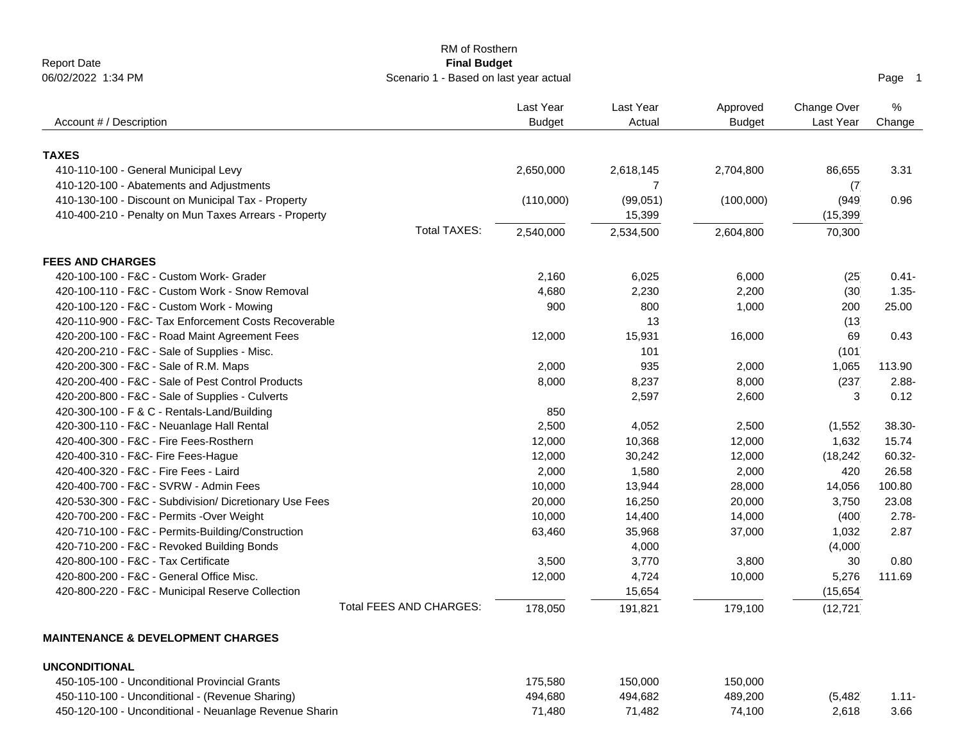|                                                        | RM of Rosthern                         |               |                |               |             |          |
|--------------------------------------------------------|----------------------------------------|---------------|----------------|---------------|-------------|----------|
| <b>Report Date</b>                                     | <b>Final Budget</b>                    |               |                |               |             |          |
| 06/02/2022 1:34 PM                                     | Scenario 1 - Based on last year actual |               |                |               |             | Page 1   |
|                                                        |                                        | Last Year     | Last Year      | Approved      | Change Over | $\%$     |
| Account # / Description                                |                                        | <b>Budget</b> | Actual         | <b>Budget</b> | Last Year   | Change   |
|                                                        |                                        |               |                |               |             |          |
| <b>TAXES</b>                                           |                                        |               |                |               |             |          |
| 410-110-100 - General Municipal Levy                   |                                        | 2,650,000     | 2,618,145      | 2,704,800     | 86,655      | 3.31     |
| 410-120-100 - Abatements and Adjustments               |                                        |               | $\overline{7}$ |               | (7)         |          |
| 410-130-100 - Discount on Municipal Tax - Property     |                                        | (110,000)     | (99,051)       | (100,000)     | (949        | 0.96     |
| 410-400-210 - Penalty on Mun Taxes Arrears - Property  |                                        |               | 15,399         |               | (15, 399)   |          |
|                                                        | <b>Total TAXES:</b>                    | 2,540,000     | 2,534,500      | 2,604,800     | 70,300      |          |
| <b>FEES AND CHARGES</b>                                |                                        |               |                |               |             |          |
| 420-100-100 - F&C - Custom Work- Grader                |                                        | 2,160         | 6,025          | 6,000         | (25)        | $0.41 -$ |
| 420-100-110 - F&C - Custom Work - Snow Removal         |                                        | 4,680         | 2,230          | 2,200         | (30)        | $1.35 -$ |
| 420-100-120 - F&C - Custom Work - Mowing               |                                        | 900           | 800            | 1,000         | 200         | 25.00    |
| 420-110-900 - F&C- Tax Enforcement Costs Recoverable   |                                        |               | 13             |               | (13)        |          |
| 420-200-100 - F&C - Road Maint Agreement Fees          |                                        | 12,000        | 15,931         | 16,000        | 69          | 0.43     |
| 420-200-210 - F&C - Sale of Supplies - Misc.           |                                        |               | 101            |               | (101)       |          |
| 420-200-300 - F&C - Sale of R.M. Maps                  |                                        | 2,000         | 935            | 2,000         | 1,065       | 113.90   |
| 420-200-400 - F&C - Sale of Pest Control Products      |                                        | 8,000         | 8,237          | 8,000         | (237)       | $2.88 -$ |
| 420-200-800 - F&C - Sale of Supplies - Culverts        |                                        |               | 2,597          | 2,600         | 3           | 0.12     |
| 420-300-100 - F & C - Rentals-Land/Building            |                                        | 850           |                |               |             |          |
| 420-300-110 - F&C - Neuanlage Hall Rental              |                                        | 2,500         | 4,052          | 2,500         | (1, 552)    | 38.30-   |
| 420-400-300 - F&C - Fire Fees-Rosthern                 |                                        | 12,000        | 10,368         | 12,000        | 1,632       | 15.74    |
| 420-400-310 - F&C- Fire Fees-Hague                     |                                        | 12,000        | 30,242         | 12,000        | (18, 242)   | 60.32-   |
| 420-400-320 - F&C - Fire Fees - Laird                  |                                        | 2,000         | 1,580          | 2,000         | 420         | 26.58    |
| 420-400-700 - F&C - SVRW - Admin Fees                  |                                        | 10,000        | 13,944         | 28,000        | 14,056      | 100.80   |
| 420-530-300 - F&C - Subdivision/ Dicretionary Use Fees |                                        | 20,000        | 16,250         | 20,000        | 3,750       | 23.08    |
| 420-700-200 - F&C - Permits -Over Weight               |                                        | 10,000        | 14,400         | 14,000        | (400)       | $2.78 -$ |
| 420-710-100 - F&C - Permits-Building/Construction      |                                        | 63,460        | 35,968         | 37,000        | 1,032       | 2.87     |
| 420-710-200 - F&C - Revoked Building Bonds             |                                        |               | 4,000          |               | (4,000)     |          |
| 420-800-100 - F&C - Tax Certificate                    |                                        | 3,500         | 3,770          | 3,800         | 30          | 0.80     |
| 420-800-200 - F&C - General Office Misc.               |                                        | 12,000        | 4,724          | 10,000        | 5,276       | 111.69   |
| 420-800-220 - F&C - Municipal Reserve Collection       |                                        |               | 15,654         |               | (15, 654)   |          |
|                                                        | Total FEES AND CHARGES:                | 178,050       | 191,821        | 179,100       | (12, 721)   |          |
| <b>MAINTENANCE &amp; DEVELOPMENT CHARGES</b>           |                                        |               |                |               |             |          |
| <b>UNCONDITIONAL</b>                                   |                                        |               |                |               |             |          |
| 450-105-100 - Unconditional Provincial Grants          |                                        | 175,580       | 150,000        | 150,000       |             |          |
| 450-110-100 - Unconditional - (Revenue Sharing)        |                                        | 494,680       | 494,682        | 489,200       | (5, 482)    | $1.11 -$ |
| 450-120-100 - Unconditional - Neuanlage Revenue Sharin |                                        | 71,480        | 71,482         | 74,100        | 2,618       | 3.66     |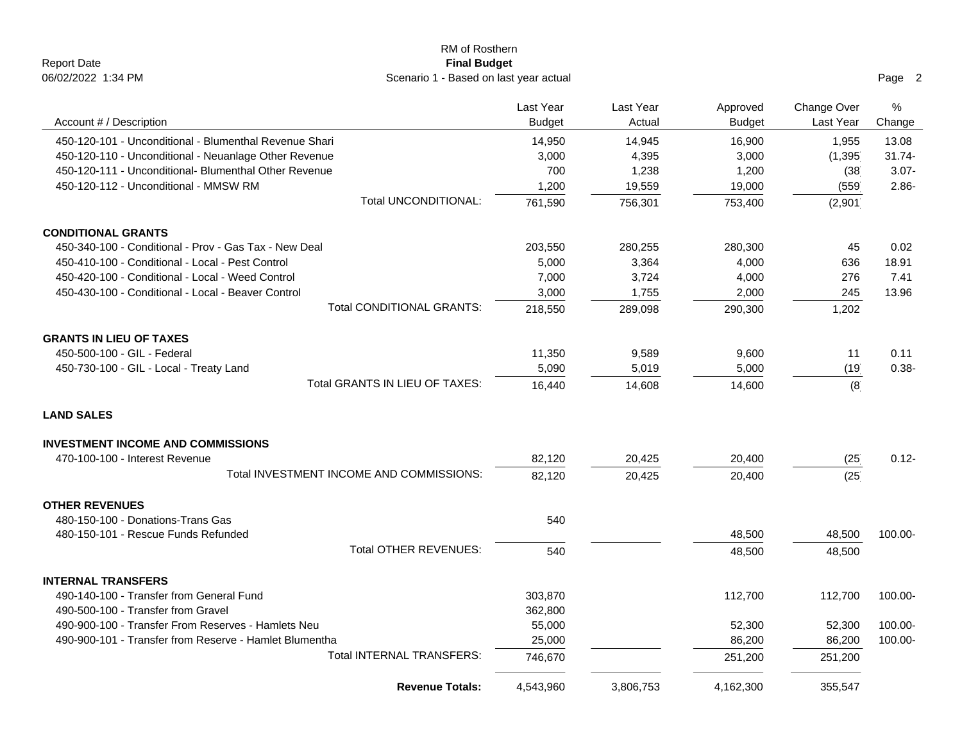|                                                        | RM of Rosthern                           |               |           |               |             |           |
|--------------------------------------------------------|------------------------------------------|---------------|-----------|---------------|-------------|-----------|
| <b>Report Date</b>                                     | <b>Final Budget</b>                      |               |           |               |             |           |
| 06/02/2022 1:34 PM                                     | Scenario 1 - Based on last year actual   |               |           |               |             | Page 2    |
|                                                        |                                          | Last Year     | Last Year | Approved      | Change Over | %         |
| Account # / Description                                |                                          | <b>Budget</b> | Actual    | <b>Budget</b> | Last Year   | Change    |
| 450-120-101 - Unconditional - Blumenthal Revenue Shari |                                          | 14,950        | 14,945    | 16,900        | 1,955       | 13.08     |
| 450-120-110 - Unconditional - Neuanlage Other Revenue  |                                          | 3,000         | 4,395     | 3,000         | (1, 395)    | $31.74 -$ |
| 450-120-111 - Unconditional- Blumenthal Other Revenue  |                                          | 700           | 1,238     | 1,200         | (38)        | $3.07 -$  |
| 450-120-112 - Unconditional - MMSW RM                  |                                          | 1,200         | 19,559    | 19,000        | (559)       | $2.86 -$  |
|                                                        | Total UNCONDITIONAL:                     | 761,590       | 756,301   | 753,400       | (2,901)     |           |
| <b>CONDITIONAL GRANTS</b>                              |                                          |               |           |               |             |           |
| 450-340-100 - Conditional - Prov - Gas Tax - New Deal  |                                          | 203,550       | 280,255   | 280,300       | 45          | 0.02      |
| 450-410-100 - Conditional - Local - Pest Control       |                                          | 5,000         | 3,364     | 4,000         | 636         | 18.91     |
| 450-420-100 - Conditional - Local - Weed Control       |                                          | 7,000         | 3,724     | 4,000         | 276         | 7.41      |
| 450-430-100 - Conditional - Local - Beaver Control     |                                          | 3,000         | 1,755     | 2,000         | 245         | 13.96     |
|                                                        | <b>Total CONDITIONAL GRANTS:</b>         | 218,550       | 289,098   | 290,300       | 1,202       |           |
| <b>GRANTS IN LIEU OF TAXES</b>                         |                                          |               |           |               |             |           |
| 450-500-100 - GIL - Federal                            |                                          | 11,350        | 9,589     | 9,600         | 11          | 0.11      |
| 450-730-100 - GIL - Local - Treaty Land                |                                          | 5,090         | 5,019     | 5,000         | (19)        | $0.38 -$  |
|                                                        | Total GRANTS IN LIEU OF TAXES:           | 16,440        | 14,608    | 14,600        | (8)         |           |
| <b>LAND SALES</b>                                      |                                          |               |           |               |             |           |
| <b>INVESTMENT INCOME AND COMMISSIONS</b>               |                                          |               |           |               |             |           |
| 470-100-100 - Interest Revenue                         |                                          | 82,120        | 20,425    | 20,400        | (25)        | $0.12 -$  |
|                                                        | Total INVESTMENT INCOME AND COMMISSIONS: | 82,120        | 20,425    | 20,400        | (25)        |           |
| <b>OTHER REVENUES</b>                                  |                                          |               |           |               |             |           |
| 480-150-100 - Donations-Trans Gas                      |                                          | 540           |           |               |             |           |
| 480-150-101 - Rescue Funds Refunded                    |                                          |               |           | 48,500        | 48,500      | 100.00-   |
|                                                        | Total OTHER REVENUES:                    | 540           |           | 48,500        | 48,500      |           |
| <b>INTERNAL TRANSFERS</b>                              |                                          |               |           |               |             |           |
| 490-140-100 - Transfer from General Fund               |                                          | 303,870       |           | 112,700       | 112,700     | 100.00-   |
| 490-500-100 - Transfer from Gravel                     |                                          | 362,800       |           |               |             |           |
| 490-900-100 - Transfer From Reserves - Hamlets Neu     |                                          | 55,000        |           | 52,300        | 52,300      | 100.00-   |
| 490-900-101 - Transfer from Reserve - Hamlet Blumentha |                                          | 25,000        |           | 86,200        | 86,200      | 100.00-   |
|                                                        | Total INTERNAL TRANSFERS:                | 746,670       |           | 251,200       | 251,200     |           |
|                                                        | <b>Revenue Totals:</b>                   | 4,543,960     | 3,806,753 | 4,162,300     | 355,547     |           |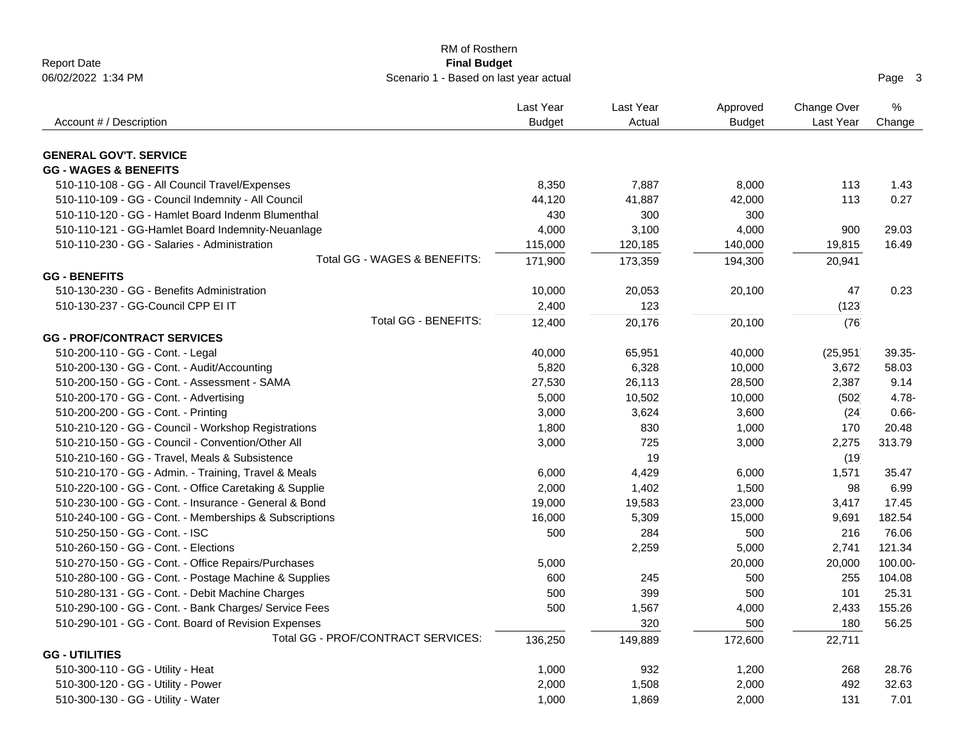| <b>Report Date</b>                                                | <b>RM of Rosthern</b><br><b>Final Budget</b> |                     |                           |                          |             |
|-------------------------------------------------------------------|----------------------------------------------|---------------------|---------------------------|--------------------------|-------------|
| 06/02/2022 1:34 PM                                                | Scenario 1 - Based on last year actual       |                     |                           |                          | Page 3      |
| Account # / Description                                           | Last Year<br><b>Budget</b>                   | Last Year<br>Actual | Approved<br><b>Budget</b> | Change Over<br>Last Year | %<br>Change |
|                                                                   |                                              |                     |                           |                          |             |
| <b>GENERAL GOV'T. SERVICE</b><br><b>GG - WAGES &amp; BENEFITS</b> |                                              |                     |                           |                          |             |
| 510-110-108 - GG - All Council Travel/Expenses                    | 8,350                                        | 7,887               | 8,000                     | 113                      | 1.43        |
| 510-110-109 - GG - Council Indemnity - All Council                | 44,120                                       | 41,887              | 42,000                    | 113                      | 0.27        |
| 510-110-120 - GG - Hamlet Board Indenm Blumenthal                 | 430                                          | 300                 | 300                       |                          |             |
| 510-110-121 - GG-Hamlet Board Indemnity-Neuanlage                 | 4,000                                        | 3,100               | 4,000                     | 900                      | 29.03       |
| 510-110-230 - GG - Salaries - Administration                      | 115,000                                      | 120,185             | 140,000                   | 19,815                   | 16.49       |
| Total GG - WAGES & BENEFITS:                                      | 171,900                                      | 173,359             | 194,300                   | 20,941                   |             |
| <b>GG - BENEFITS</b>                                              |                                              |                     |                           |                          |             |
| 510-130-230 - GG - Benefits Administration                        | 10,000                                       | 20,053              | 20,100                    | 47                       | 0.23        |
| 510-130-237 - GG-Council CPP EI IT                                | 2,400                                        | 123                 |                           | (123)                    |             |
| Total GG - BENEFITS:                                              | 12,400                                       | 20,176              | 20,100                    | (76)                     |             |
| <b>GG - PROF/CONTRACT SERVICES</b>                                |                                              |                     |                           |                          |             |
| 510-200-110 - GG - Cont. - Legal                                  | 40,000                                       | 65,951              | 40,000                    | (25, 951)                | 39.35-      |
| 510-200-130 - GG - Cont. - Audit/Accounting                       | 5,820                                        | 6,328               | 10,000                    | 3,672                    | 58.03       |
| 510-200-150 - GG - Cont. - Assessment - SAMA                      | 27,530                                       | 26,113              | 28,500                    | 2,387                    | 9.14        |
| 510-200-170 - GG - Cont. - Advertising                            | 5,000                                        | 10,502              | 10,000                    | (502)                    | $4.78 -$    |
| 510-200-200 - GG - Cont. - Printing                               | 3,000                                        | 3,624               | 3,600                     | (24)                     | $0.66 -$    |
| 510-210-120 - GG - Council - Workshop Registrations               | 1,800                                        | 830                 | 1,000                     | 170                      | 20.48       |
| 510-210-150 - GG - Council - Convention/Other All                 | 3,000                                        | 725                 | 3,000                     | 2,275                    | 313.79      |
| 510-210-160 - GG - Travel, Meals & Subsistence                    |                                              | 19                  |                           | (19)                     |             |
| 510-210-170 - GG - Admin. - Training, Travel & Meals              | 6,000                                        | 4,429               | 6,000                     | 1,571                    | 35.47       |
| 510-220-100 - GG - Cont. - Office Caretaking & Supplie            | 2,000                                        | 1,402               | 1,500                     | 98                       | 6.99        |
| 510-230-100 - GG - Cont. - Insurance - General & Bond             | 19,000                                       | 19,583              | 23,000                    | 3,417                    | 17.45       |
| 510-240-100 - GG - Cont. - Memberships & Subscriptions            | 16,000                                       | 5,309               | 15,000                    | 9,691                    | 182.54      |
| 510-250-150 - GG - Cont. - ISC                                    | 500                                          | 284                 | 500                       | 216                      | 76.06       |
| 510-260-150 - GG - Cont. - Elections                              |                                              | 2,259               | 5,000                     | 2,741                    | 121.34      |
| 510-270-150 - GG - Cont. - Office Repairs/Purchases               | 5,000                                        |                     | 20,000                    | 20,000                   | 100.00-     |
| 510-280-100 - GG - Cont. - Postage Machine & Supplies             | 600                                          | 245                 | 500                       | 255                      | 104.08      |
| 510-280-131 - GG - Cont. - Debit Machine Charges                  | 500                                          | 399                 | 500                       | 101                      | 25.31       |
| 510-290-100 - GG - Cont. - Bank Charges/ Service Fees             | 500                                          | 1,567               | 4,000                     | 2,433                    | 155.26      |
| 510-290-101 - GG - Cont. Board of Revision Expenses               |                                              | 320                 | 500                       | 180                      | 56.25       |
| Total GG - PROF/CONTRACT SERVICES:                                | 136,250                                      | 149,889             | 172,600                   | 22,711                   |             |
| <b>GG - UTILITIES</b>                                             |                                              |                     |                           |                          |             |
| 510-300-110 - GG - Utility - Heat                                 | 1,000                                        | 932                 | 1,200                     | 268                      | 28.76       |
| 510-300-120 - GG - Utility - Power                                | 2,000                                        | 1,508               | 2,000                     | 492                      | 32.63       |
| 510-300-130 - GG - Utility - Water                                | 1,000                                        | 1,869               | 2,000                     | 131                      | 7.01        |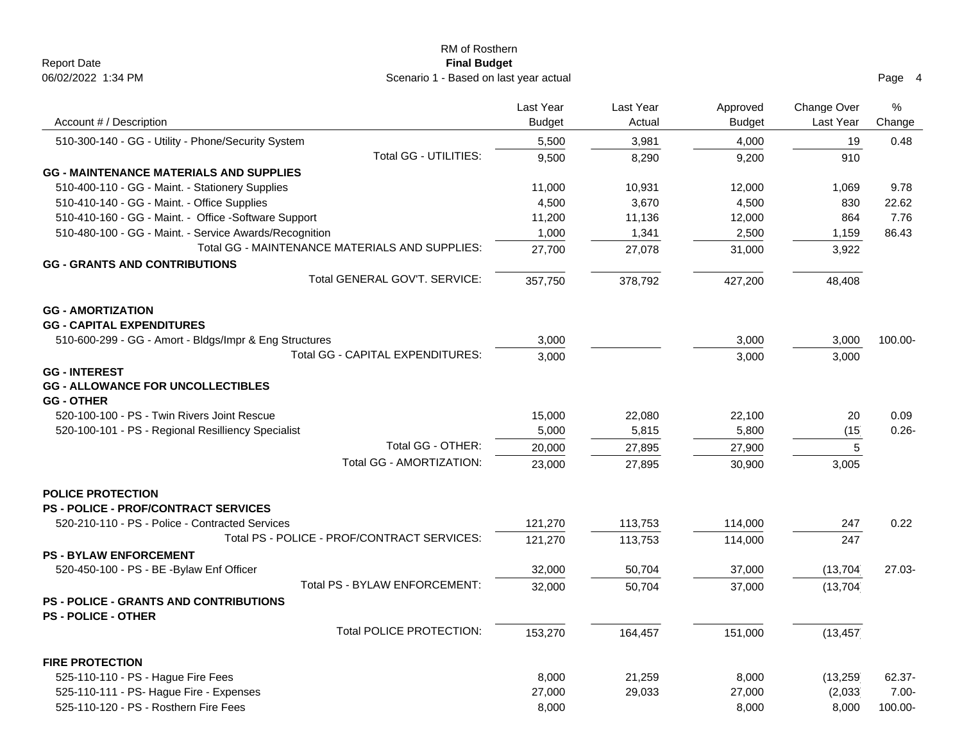| RM of Rosthern                                               |               |           |               |             |          |
|--------------------------------------------------------------|---------------|-----------|---------------|-------------|----------|
| <b>Report Date</b><br><b>Final Budget</b>                    |               |           |               |             |          |
| 06/02/2022 1:34 PM<br>Scenario 1 - Based on last year actual |               |           |               |             | Page 4   |
|                                                              | Last Year     | Last Year | Approved      | Change Over | %        |
| Account # / Description                                      | <b>Budget</b> | Actual    | <b>Budget</b> | Last Year   | Change   |
| 510-300-140 - GG - Utility - Phone/Security System           | 5,500         | 3,981     | 4,000         | 19          | 0.48     |
| Total GG - UTILITIES:                                        | 9,500         | 8,290     | 9,200         | 910         |          |
| <b>GG - MAINTENANCE MATERIALS AND SUPPLIES</b>               |               |           |               |             |          |
| 510-400-110 - GG - Maint. - Stationery Supplies              | 11,000        | 10,931    | 12,000        | 1,069       | 9.78     |
| 510-410-140 - GG - Maint. - Office Supplies                  | 4,500         | 3,670     | 4,500         | 830         | 22.62    |
| 510-410-160 - GG - Maint. - Office -Software Support         | 11,200        | 11,136    | 12,000        | 864         | 7.76     |
| 510-480-100 - GG - Maint. - Service Awards/Recognition       | 1,000         | 1,341     | 2,500         | 1,159       | 86.43    |
| Total GG - MAINTENANCE MATERIALS AND SUPPLIES:               | 27,700        | 27,078    | 31,000        | 3,922       |          |
| <b>GG - GRANTS AND CONTRIBUTIONS</b>                         |               |           |               |             |          |
| Total GENERAL GOV'T, SERVICE:                                | 357,750       | 378,792   | 427,200       | 48,408      |          |
| <b>GG - AMORTIZATION</b>                                     |               |           |               |             |          |
| <b>GG - CAPITAL EXPENDITURES</b>                             |               |           |               |             |          |
| 510-600-299 - GG - Amort - Bldgs/Impr & Eng Structures       | 3,000         |           | 3,000         | 3,000       | 100.00-  |
| Total GG - CAPITAL EXPENDITURES:                             | 3,000         |           | 3,000         | 3,000       |          |
| <b>GG - INTEREST</b>                                         |               |           |               |             |          |
| <b>GG - ALLOWANCE FOR UNCOLLECTIBLES</b>                     |               |           |               |             |          |
| <b>GG - OTHER</b>                                            |               |           |               |             |          |
| 520-100-100 - PS - Twin Rivers Joint Rescue                  | 15,000        | 22,080    | 22,100        | 20          | 0.09     |
| 520-100-101 - PS - Regional Resilliency Specialist           | 5,000         | 5,815     | 5,800         | (15)        | $0.26 -$ |
| Total GG - OTHER:                                            | 20,000        | 27,895    | 27,900        | 5           |          |
| Total GG - AMORTIZATION:                                     | 23,000        | 27,895    | 30,900        | 3,005       |          |
|                                                              |               |           |               |             |          |
| <b>POLICE PROTECTION</b>                                     |               |           |               |             |          |
| <b>PS - POLICE - PROF/CONTRACT SERVICES</b>                  |               |           |               |             |          |
| 520-210-110 - PS - Police - Contracted Services              | 121,270       | 113,753   | 114,000       | 247         | 0.22     |
| Total PS - POLICE - PROF/CONTRACT SERVICES:                  | 121,270       | 113,753   | 114,000       | 247         |          |
| <b>PS - BYLAW ENFORCEMENT</b>                                |               |           |               |             |          |
| 520-450-100 - PS - BE -Bylaw Enf Officer                     | 32,000        | 50,704    | 37,000        | (13, 704)   | 27.03-   |
| Total PS - BYLAW ENFORCEMENT:                                | 32,000        | 50,704    | 37,000        | (13, 704)   |          |
| <b>PS - POLICE - GRANTS AND CONTRIBUTIONS</b>                |               |           |               |             |          |
| <b>PS - POLICE - OTHER</b>                                   |               |           |               |             |          |
| Total POLICE PROTECTION:                                     | 153,270       | 164,457   | 151,000       | (13, 457)   |          |
| <b>FIRE PROTECTION</b>                                       |               |           |               |             |          |
| 525-110-110 - PS - Hague Fire Fees                           | 8,000         | 21,259    | 8,000         | (13, 259)   | 62.37-   |
| 525-110-111 - PS- Hague Fire - Expenses                      | 27,000        | 29,033    | 27,000        | (2,033)     | $7.00 -$ |
| 525-110-120 - PS - Rosthern Fire Fees                        | 8,000         |           | 8,000         | 8,000       | 100.00-  |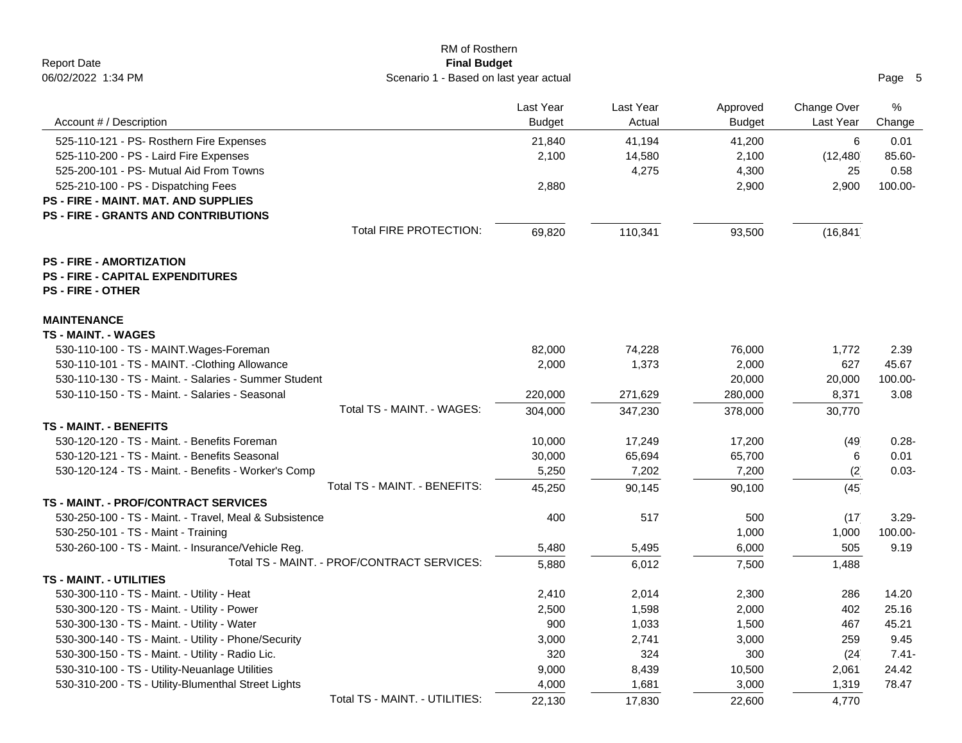| RM of Rosthern                                                                                            |               |           |               |             |          |
|-----------------------------------------------------------------------------------------------------------|---------------|-----------|---------------|-------------|----------|
| <b>Report Date</b><br><b>Final Budget</b><br>06/02/2022 1:34 PM<br>Scenario 1 - Based on last year actual |               |           |               |             | Page 5   |
|                                                                                                           |               |           |               |             |          |
|                                                                                                           | Last Year     | Last Year | Approved      | Change Over | %        |
| Account # / Description                                                                                   | <b>Budget</b> | Actual    | <b>Budget</b> | Last Year   | Change   |
| 525-110-121 - PS- Rosthern Fire Expenses                                                                  | 21,840        | 41,194    | 41,200        | 6           | 0.01     |
| 525-110-200 - PS - Laird Fire Expenses                                                                    | 2,100         | 14,580    | 2,100         | (12, 480)   | 85.60-   |
| 525-200-101 - PS- Mutual Aid From Towns                                                                   |               | 4,275     | 4,300         | 25          | 0.58     |
| 525-210-100 - PS - Dispatching Fees                                                                       | 2,880         |           | 2,900         | 2,900       | 100.00-  |
| <b>PS - FIRE - MAINT. MAT. AND SUPPLIES</b>                                                               |               |           |               |             |          |
| <b>PS - FIRE - GRANTS AND CONTRIBUTIONS</b>                                                               |               |           |               |             |          |
| <b>Total FIRE PROTECTION:</b>                                                                             | 69,820        | 110,341   | 93,500        | (16, 841)   |          |
| <b>PS - FIRE - AMORTIZATION</b>                                                                           |               |           |               |             |          |
| <b>PS - FIRE - CAPITAL EXPENDITURES</b>                                                                   |               |           |               |             |          |
| <b>PS - FIRE - OTHER</b>                                                                                  |               |           |               |             |          |
| <b>MAINTENANCE</b>                                                                                        |               |           |               |             |          |
| <b>TS - MAINT. - WAGES</b>                                                                                |               |           |               |             |          |
| 530-110-100 - TS - MAINT. Wages-Foreman                                                                   | 82,000        | 74,228    | 76,000        | 1,772       | 2.39     |
| 530-110-101 - TS - MAINT. - Clothing Allowance                                                            | 2,000         | 1,373     | 2,000         | 627         | 45.67    |
| 530-110-130 - TS - Maint. - Salaries - Summer Student                                                     |               |           | 20,000        | 20,000      | 100.00-  |
| 530-110-150 - TS - Maint. - Salaries - Seasonal                                                           | 220,000       | 271,629   | 280,000       | 8,371       | 3.08     |
| Total TS - MAINT. - WAGES:                                                                                | 304,000       | 347,230   | 378,000       | 30,770      |          |
| <b>TS - MAINT. - BENEFITS</b>                                                                             |               |           |               |             |          |
| 530-120-120 - TS - Maint. - Benefits Foreman                                                              | 10,000        | 17,249    | 17,200        | (49)        | $0.28 -$ |
| 530-120-121 - TS - Maint. - Benefits Seasonal                                                             | 30,000        | 65,694    | 65,700        | 6           | 0.01     |
| 530-120-124 - TS - Maint. - Benefits - Worker's Comp                                                      | 5,250         | 7,202     | 7,200         | (2)         | $0.03 -$ |
| Total TS - MAINT. - BENEFITS:                                                                             | 45,250        | 90,145    | 90,100        | (45)        |          |
| <b>TS - MAINT. - PROF/CONTRACT SERVICES</b>                                                               |               |           |               |             |          |
| 530-250-100 - TS - Maint. - Travel, Meal & Subsistence                                                    | 400           | 517       | 500           | (17)        | $3.29 -$ |
| 530-250-101 - TS - Maint - Training                                                                       |               |           | 1,000         | 1,000       | 100.00-  |
| 530-260-100 - TS - Maint. - Insurance/Vehicle Reg.                                                        | 5,480         | 5,495     | 6,000         | 505         | 9.19     |
| Total TS - MAINT. - PROF/CONTRACT SERVICES:                                                               | 5,880         | 6,012     | 7,500         | 1,488       |          |
| <b>TS - MAINT. - UTILITIES</b>                                                                            |               |           |               |             |          |
| 530-300-110 - TS - Maint. - Utility - Heat                                                                | 2,410         | 2,014     | 2,300         | 286         | 14.20    |
| 530-300-120 - TS - Maint. - Utility - Power                                                               | 2,500         | 1,598     | 2,000         | 402         | 25.16    |
| 530-300-130 - TS - Maint. - Utility - Water                                                               | 900           | 1,033     | 1,500         | 467         | 45.21    |
| 530-300-140 - TS - Maint. - Utility - Phone/Security                                                      | 3,000         | 2,741     | 3,000         | 259         | 9.45     |
| 530-300-150 - TS - Maint. - Utility - Radio Lic.                                                          | 320           | 324       | 300           | (24)        | $7.41 -$ |
| 530-310-100 - TS - Utility-Neuanlage Utilities                                                            | 9,000         | 8,439     | 10,500        | 2,061       | 24.42    |
| 530-310-200 - TS - Utility-Blumenthal Street Lights                                                       | 4,000         | 1,681     | 3,000         | 1,319       | 78.47    |
| Total TS - MAINT. - UTILITIES:                                                                            | 22,130        | 17,830    | 22,600        | 4,770       |          |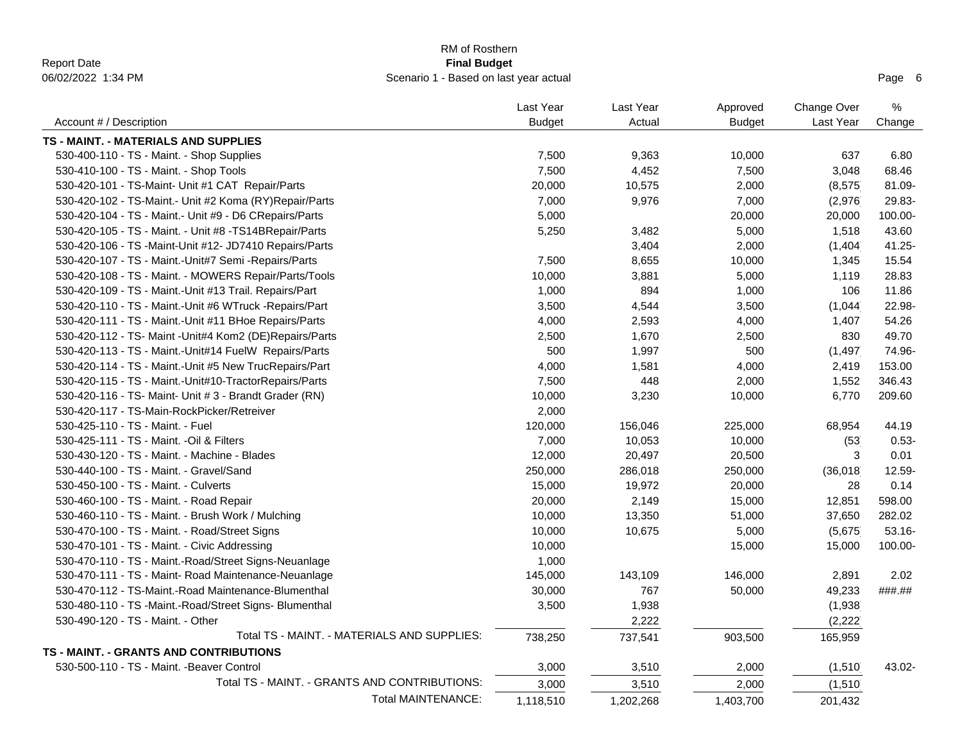|                                                        | RM of Rosthern                                                |       |           |               |             |           |
|--------------------------------------------------------|---------------------------------------------------------------|-------|-----------|---------------|-------------|-----------|
| <b>Report Date</b><br>06/02/2022 1:34 PM               | <b>Final Budget</b><br>Scenario 1 - Based on last year actual |       |           |               |             |           |
|                                                        |                                                               |       |           |               |             | Page 6    |
|                                                        | Last Year                                                     |       | Last Year | Approved      | Change Over | $\%$      |
| Account # / Description                                | <b>Budget</b>                                                 |       | Actual    | <b>Budget</b> | Last Year   | Change    |
| TS - MAINT. - MATERIALS AND SUPPLIES                   |                                                               |       |           |               |             |           |
| 530-400-110 - TS - Maint. - Shop Supplies              |                                                               | 7,500 | 9,363     | 10,000        | 637         | 6.80      |
| 530-410-100 - TS - Maint. - Shop Tools                 |                                                               | 7,500 | 4,452     | 7,500         | 3,048       | 68.46     |
| 530-420-101 - TS-Maint- Unit #1 CAT Repair/Parts       | 20,000                                                        |       | 10,575    | 2,000         | (8, 575)    | 81.09-    |
| 530-420-102 - TS-Maint.- Unit #2 Koma (RY)Repair/Parts |                                                               | 7,000 | 9,976     | 7,000         | (2,976)     | 29.83-    |
| 530-420-104 - TS - Maint.- Unit #9 - D6 CRepairs/Parts |                                                               | 5,000 |           | 20,000        | 20,000      | 100.00-   |
| 530-420-105 - TS - Maint. - Unit #8 -TS14BRepair/Parts |                                                               | 5,250 | 3,482     | 5,000         | 1,518       | 43.60     |
| 530-420-106 - TS -Maint-Unit #12- JD7410 Repairs/Parts |                                                               |       | 3,404     | 2,000         | (1,404)     | 41.25-    |
| 530-420-107 - TS - Maint.-Unit#7 Semi -Repairs/Parts   |                                                               | 7,500 | 8,655     | 10,000        | 1,345       | 15.54     |
| 530-420-108 - TS - Maint. - MOWERS Repair/Parts/Tools  | 10,000                                                        |       | 3,881     | 5,000         | 1,119       | 28.83     |
| 530-420-109 - TS - Maint.-Unit #13 Trail. Repairs/Part |                                                               | 1,000 | 894       | 1,000         | 106         | 11.86     |
| 530-420-110 - TS - Maint.-Unit #6 WTruck -Repairs/Part |                                                               | 3,500 | 4,544     | 3,500         | (1,044)     | 22.98-    |
| 530-420-111 - TS - Maint.-Unit #11 BHoe Repairs/Parts  |                                                               | 4,000 | 2,593     | 4,000         | 1,407       | 54.26     |
| 530-420-112 - TS- Maint -Unit#4 Kom2 (DE)Repairs/Parts |                                                               | 2,500 | 1,670     | 2,500         | 830         | 49.70     |
| 530-420-113 - TS - Maint.-Unit#14 FuelW Repairs/Parts  |                                                               | 500   | 1,997     | 500           | (1, 497)    | 74.96-    |
| 530-420-114 - TS - Maint.-Unit #5 New TrucRepairs/Part |                                                               | 4,000 | 1,581     | 4,000         | 2,419       | 153.00    |
| 530-420-115 - TS - Maint.-Unit#10-TractorRepairs/Parts |                                                               | 7,500 | 448       | 2,000         | 1,552       | 346.43    |
| 530-420-116 - TS- Maint- Unit # 3 - Brandt Grader (RN) | 10,000                                                        |       | 3,230     | 10,000        | 6,770       | 209.60    |
| 530-420-117 - TS-Main-RockPicker/Retreiver             |                                                               | 2,000 |           |               |             |           |
| 530-425-110 - TS - Maint. - Fuel                       | 120,000                                                       |       | 156,046   | 225,000       | 68,954      | 44.19     |
| 530-425-111 - TS - Maint. - Oil & Filters              |                                                               | 7,000 | 10,053    | 10,000        | (53)        | $0.53 -$  |
| 530-430-120 - TS - Maint. - Machine - Blades           | 12,000                                                        |       | 20,497    | 20,500        | 3           | 0.01      |
| 530-440-100 - TS - Maint. - Gravel/Sand                | 250,000                                                       |       | 286,018   | 250,000       | (36,018)    | 12.59-    |
| 530-450-100 - TS - Maint. - Culverts                   | 15,000                                                        |       | 19,972    | 20,000        | 28          | 0.14      |
| 530-460-100 - TS - Maint. - Road Repair                | 20,000                                                        |       | 2,149     | 15,000        | 12,851      | 598.00    |
| 530-460-110 - TS - Maint. - Brush Work / Mulching      | 10,000                                                        |       | 13,350    | 51,000        | 37,650      | 282.02    |
| 530-470-100 - TS - Maint. - Road/Street Signs          | 10,000                                                        |       | 10,675    | 5,000         | (5,675)     | $53.16 -$ |
| 530-470-101 - TS - Maint. - Civic Addressing           | 10,000                                                        |       |           | 15,000        | 15,000      | 100.00-   |
| 530-470-110 - TS - Maint.-Road/Street Signs-Neuanlage  |                                                               | 1,000 |           |               |             |           |
| 530-470-111 - TS - Maint- Road Maintenance-Neuanlage   | 145,000                                                       |       | 143,109   | 146,000       | 2,891       | 2.02      |
| 530-470-112 - TS-Maint.-Road Maintenance-Blumenthal    | 30,000                                                        |       | 767       | 50,000        | 49,233      | ###.##    |
| 530-480-110 - TS -Maint.-Road/Street Signs- Blumenthal |                                                               | 3,500 | 1,938     |               | (1,938)     |           |
| 530-490-120 - TS - Maint. - Other                      |                                                               |       | 2,222     |               | (2, 222)    |           |
| Total TS - MAINT. - MATERIALS AND SUPPLIES:            | 738,250                                                       |       | 737,541   | 903,500       | 165,959     |           |
| TS - MAINT. - GRANTS AND CONTRIBUTIONS                 |                                                               |       |           |               |             |           |
| 530-500-110 - TS - Maint. - Beaver Control             |                                                               | 3,000 | 3,510     | 2,000         | (1,510)     | 43.02-    |
| Total TS - MAINT. - GRANTS AND CONTRIBUTIONS:          |                                                               | 3,000 | 3,510     | 2,000         | (1,510)     |           |
|                                                        | <b>Total MAINTENANCE:</b><br>1,118,510                        |       | 1,202,268 | 1,403,700     | 201,432     |           |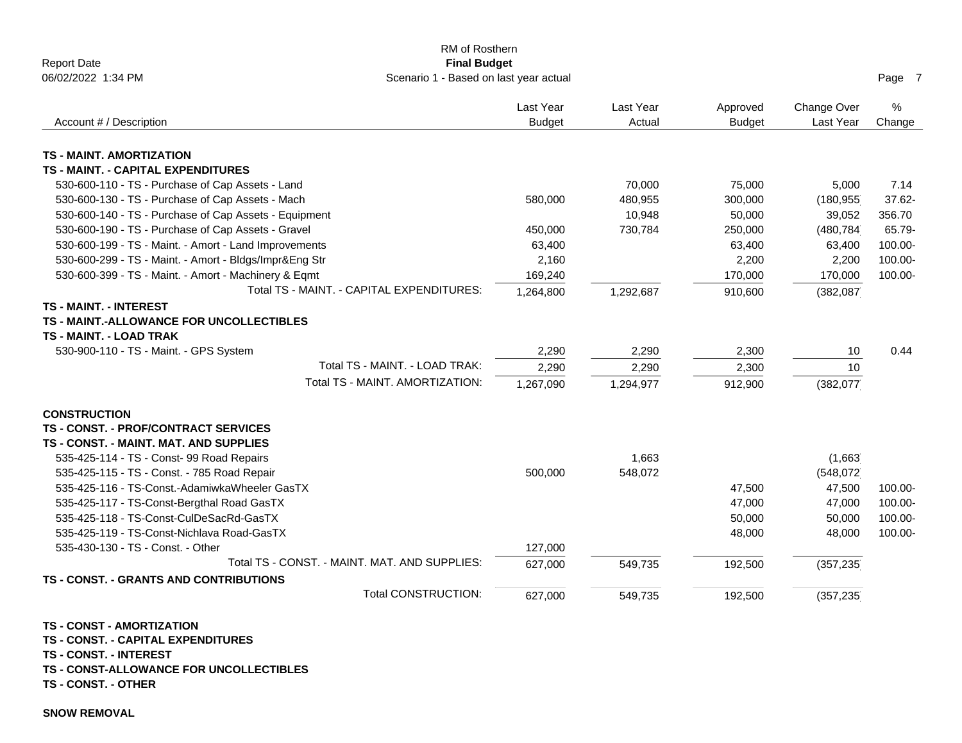| RM of Rosthern<br><b>Report Date</b><br><b>Final Budget</b>                                                                                                                               |                             |                             |                           |                          |             |
|-------------------------------------------------------------------------------------------------------------------------------------------------------------------------------------------|-----------------------------|-----------------------------|---------------------------|--------------------------|-------------|
| 06/02/2022 1:34 PM<br>Scenario 1 - Based on last year actual                                                                                                                              |                             |                             |                           |                          | Page 7      |
| Account # / Description                                                                                                                                                                   | Last Year<br><b>Budget</b>  | Last Year<br>Actual         | Approved<br><b>Budget</b> | Change Over<br>Last Year | %<br>Change |
|                                                                                                                                                                                           |                             |                             |                           |                          |             |
| <b>TS - MAINT. AMORTIZATION</b>                                                                                                                                                           |                             |                             |                           |                          |             |
| <b>TS - MAINT. - CAPITAL EXPENDITURES</b>                                                                                                                                                 |                             |                             |                           |                          |             |
| 530-600-110 - TS - Purchase of Cap Assets - Land                                                                                                                                          |                             | 70,000                      | 75,000                    | 5,000                    | 7.14        |
| 530-600-130 - TS - Purchase of Cap Assets - Mach                                                                                                                                          | 580,000                     | 480,955                     | 300,000                   | (180, 955)               | 37.62-      |
| 530-600-140 - TS - Purchase of Cap Assets - Equipment                                                                                                                                     |                             | 10,948                      | 50,000                    | 39,052                   | 356.70      |
| 530-600-190 - TS - Purchase of Cap Assets - Gravel                                                                                                                                        | 450,000                     | 730,784                     | 250,000                   | (480,784                 | 65.79-      |
| 530-600-199 - TS - Maint. - Amort - Land Improvements                                                                                                                                     | 63,400                      |                             | 63,400                    | 63,400                   | 100.00-     |
| 530-600-299 - TS - Maint. - Amort - Bldgs/Impr&Eng Str                                                                                                                                    | 2,160                       |                             | 2,200                     | 2,200                    | 100.00-     |
| 530-600-399 - TS - Maint. - Amort - Machinery & Eqmt                                                                                                                                      | 169,240                     |                             | 170,000                   | 170,000                  | 100.00-     |
| Total TS - MAINT. - CAPITAL EXPENDITURES:<br><b>TS - MAINT. - INTEREST</b>                                                                                                                | 1,264,800                   | 1,292,687                   | 910,600                   | (382, 087)               |             |
| TS - MAINT.-ALLOWANCE FOR UNCOLLECTIBLES<br><b>TS - MAINT. - LOAD TRAK</b><br>530-900-110 - TS - Maint. - GPS System<br>Total TS - MAINT. - LOAD TRAK:<br>Total TS - MAINT. AMORTIZATION: | 2,290<br>2,290<br>1,267,090 | 2,290<br>2,290<br>1,294,977 | 2,300<br>2,300<br>912,900 | 10<br>10<br>(382, 077)   | 0.44        |
| <b>CONSTRUCTION</b><br><b>TS - CONST. - PROF/CONTRACT SERVICES</b><br>TS - CONST. - MAINT. MAT. AND SUPPLIES                                                                              |                             |                             |                           |                          |             |
| 535-425-114 - TS - Const- 99 Road Repairs                                                                                                                                                 |                             | 1,663                       |                           | (1,663)                  |             |
| 535-425-115 - TS - Const. - 785 Road Repair                                                                                                                                               | 500,000                     | 548,072                     |                           | (548, 072)               |             |
| 535-425-116 - TS-Const.-AdamiwkaWheeler GasTX                                                                                                                                             |                             |                             | 47,500                    | 47,500                   | 100.00-     |
| 535-425-117 - TS-Const-Bergthal Road GasTX                                                                                                                                                |                             |                             | 47,000                    | 47,000                   | 100.00-     |
| 535-425-118 - TS-Const-CulDeSacRd-GasTX                                                                                                                                                   |                             |                             | 50,000                    | 50,000                   | 100.00-     |
| 535-425-119 - TS-Const-Nichlava Road-GasTX                                                                                                                                                |                             |                             | 48,000                    | 48,000                   | 100.00-     |
| 535-430-130 - TS - Const. - Other                                                                                                                                                         | 127,000                     |                             |                           |                          |             |
| Total TS - CONST. - MAINT. MAT. AND SUPPLIES:                                                                                                                                             | 627,000                     | 549,735                     | 192,500                   | (357, 235)               |             |
| TS - CONST. - GRANTS AND CONTRIBUTIONS                                                                                                                                                    |                             |                             |                           |                          |             |
| <b>Total CONSTRUCTION:</b>                                                                                                                                                                | 627,000                     | 549,735                     | 192,500                   | (357, 235)               |             |
| <b>TS - CONST - AMORTIZATION</b>                                                                                                                                                          |                             |                             |                           |                          |             |

**TS - CONST. - CAPITAL EXPENDITURES**

**TS - CONST. - INTEREST**

**TS - CONST-ALLOWANCE FOR UNCOLLECTIBLES**

**TS - CONST. - OTHER**

**SNOW REMOVAL**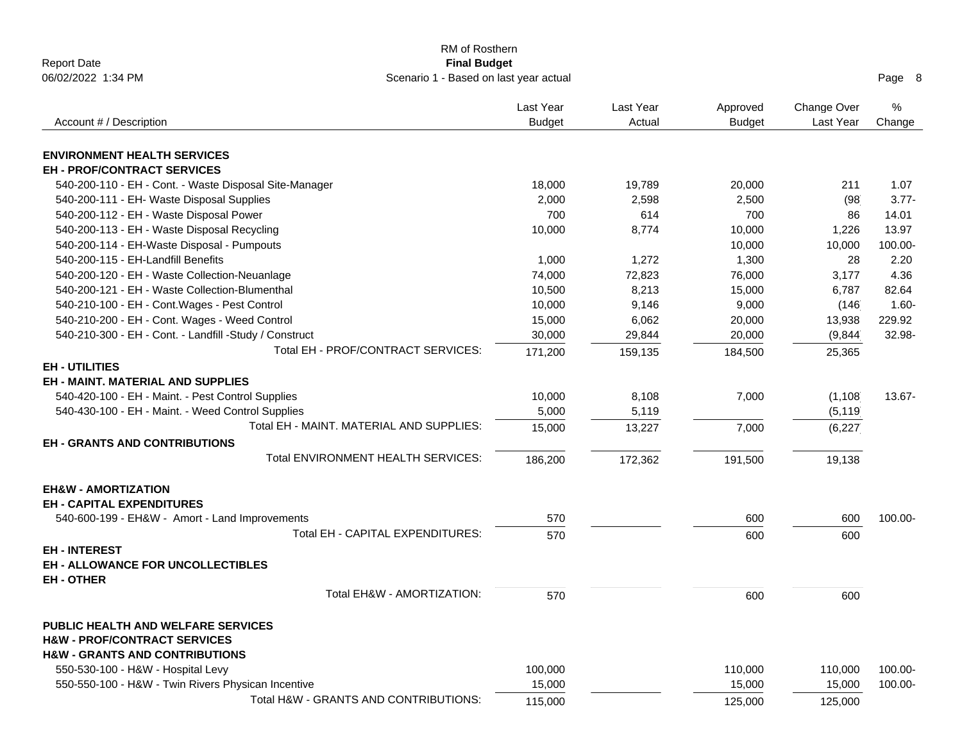|                                                        | RM of Rosthern                         |               |           |               |             |          |
|--------------------------------------------------------|----------------------------------------|---------------|-----------|---------------|-------------|----------|
| <b>Report Date</b>                                     | <b>Final Budget</b>                    |               |           |               |             |          |
| 06/02/2022 1:34 PM                                     | Scenario 1 - Based on last year actual |               |           |               |             | Page 8   |
|                                                        |                                        | Last Year     | Last Year | Approved      | Change Over | $\%$     |
| Account # / Description                                |                                        | <b>Budget</b> | Actual    | <b>Budget</b> | Last Year   | Change   |
|                                                        |                                        |               |           |               |             |          |
| <b>ENVIRONMENT HEALTH SERVICES</b>                     |                                        |               |           |               |             |          |
| <b>EH - PROF/CONTRACT SERVICES</b>                     |                                        |               |           |               |             |          |
| 540-200-110 - EH - Cont. - Waste Disposal Site-Manager |                                        | 18,000        | 19,789    | 20,000        | 211         | 1.07     |
| 540-200-111 - EH- Waste Disposal Supplies              |                                        | 2,000         | 2,598     | 2,500         | (98)        | $3.77 -$ |
| 540-200-112 - EH - Waste Disposal Power                |                                        | 700           | 614       | 700           | 86          | 14.01    |
| 540-200-113 - EH - Waste Disposal Recycling            |                                        | 10,000        | 8,774     | 10,000        | 1,226       | 13.97    |
| 540-200-114 - EH-Waste Disposal - Pumpouts             |                                        |               |           | 10,000        | 10,000      | 100.00-  |
| 540-200-115 - EH-Landfill Benefits                     |                                        | 1,000         | 1,272     | 1,300         | 28          | 2.20     |
| 540-200-120 - EH - Waste Collection-Neuanlage          |                                        | 74,000        | 72,823    | 76,000        | 3,177       | 4.36     |
| 540-200-121 - EH - Waste Collection-Blumenthal         |                                        | 10,500        | 8,213     | 15,000        | 6,787       | 82.64    |
| 540-210-100 - EH - Cont. Wages - Pest Control          |                                        | 10,000        | 9,146     | 9,000         | (146)       | $1.60 -$ |
| 540-210-200 - EH - Cont. Wages - Weed Control          |                                        | 15,000        | 6,062     | 20,000        | 13,938      | 229.92   |
| 540-210-300 - EH - Cont. - Landfill -Study / Construct |                                        | 30,000        | 29,844    | 20,000        | (9,844)     | 32.98-   |
| Total EH - PROF/CONTRACT SERVICES:                     |                                        | 171,200       | 159,135   | 184,500       | 25,365      |          |
| <b>EH-UTILITIES</b>                                    |                                        |               |           |               |             |          |
| <b>EH - MAINT, MATERIAL AND SUPPLIES</b>               |                                        |               |           |               |             |          |
| 540-420-100 - EH - Maint. - Pest Control Supplies      |                                        | 10,000        | 8,108     | 7,000         | (1, 108)    | 13.67-   |
| 540-430-100 - EH - Maint. - Weed Control Supplies      |                                        | 5,000         | 5,119     |               | (5, 119)    |          |
| Total EH - MAINT, MATERIAL AND SUPPLIES:               |                                        | 15,000        | 13,227    | 7,000         | (6, 227)    |          |
| <b>EH - GRANTS AND CONTRIBUTIONS</b>                   |                                        |               |           |               |             |          |
| Total ENVIRONMENT HEALTH SERVICES:                     |                                        | 186,200       | 172,362   | 191,500       | 19,138      |          |
| <b>EH&amp;W - AMORTIZATION</b>                         |                                        |               |           |               |             |          |
| <b>EH - CAPITAL EXPENDITURES</b>                       |                                        |               |           |               |             |          |
| 540-600-199 - EH&W - Amort - Land Improvements         |                                        | 570           |           | 600           | 600         | 100.00-  |
| Total EH - CAPITAL EXPENDITURES:                       |                                        | 570           |           |               |             |          |
|                                                        |                                        |               |           | 600           | 600         |          |
| <b>EH-INTEREST</b>                                     |                                        |               |           |               |             |          |
| <b>EH - ALLOWANCE FOR UNCOLLECTIBLES</b>               |                                        |               |           |               |             |          |
| <b>EH-OTHER</b>                                        |                                        |               |           |               |             |          |
| Total EH&W - AMORTIZATION:                             |                                        | 570           |           | 600           | 600         |          |
| <b>PUBLIC HEALTH AND WELFARE SERVICES</b>              |                                        |               |           |               |             |          |
| <b>H&amp;W - PROF/CONTRACT SERVICES</b>                |                                        |               |           |               |             |          |
| <b>H&amp;W - GRANTS AND CONTRIBUTIONS</b>              |                                        |               |           |               |             |          |
| 550-530-100 - H&W - Hospital Levy                      |                                        | 100,000       |           | 110,000       | 110,000     | 100.00-  |
| 550-550-100 - H&W - Twin Rivers Physican Incentive     |                                        | 15,000        |           | 15,000        | 15,000      | 100.00-  |
| Total H&W - GRANTS AND CONTRIBUTIONS:                  |                                        | 115,000       |           | 125,000       | 125,000     |          |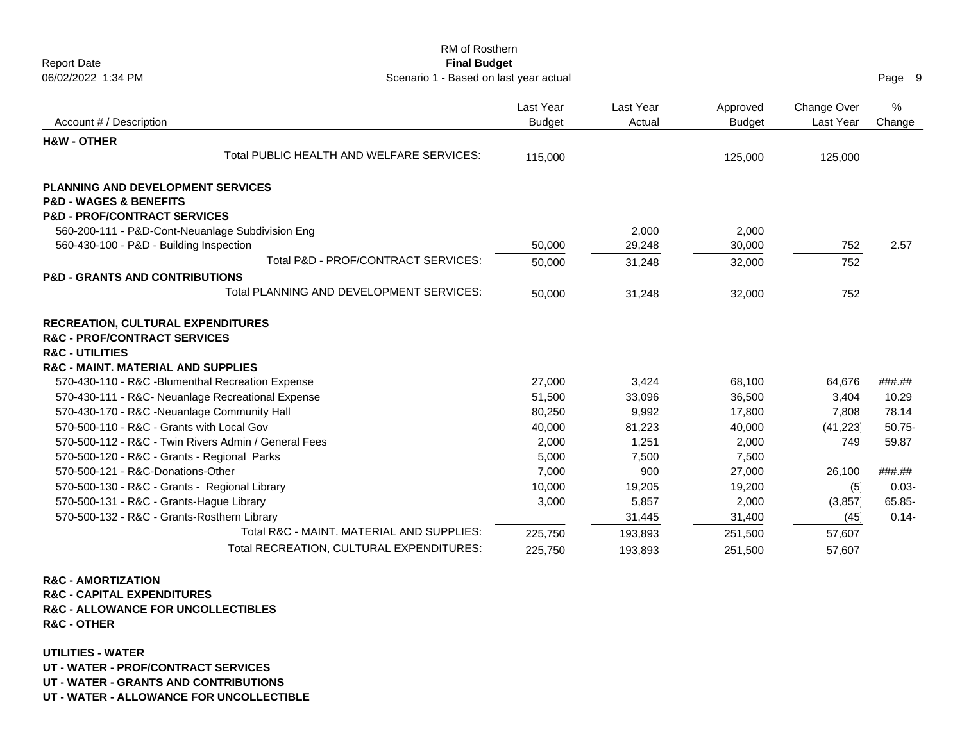| RM of Rosthern                                               |               |           |               |             |           |
|--------------------------------------------------------------|---------------|-----------|---------------|-------------|-----------|
| <b>Report Date</b><br><b>Final Budget</b>                    |               |           |               |             |           |
| 06/02/2022 1:34 PM<br>Scenario 1 - Based on last year actual |               |           |               |             | Page 9    |
|                                                              | Last Year     | Last Year | Approved      | Change Over | %         |
| Account # / Description                                      | <b>Budget</b> | Actual    | <b>Budget</b> | Last Year   | Change    |
| <b>H&amp;W - OTHER</b>                                       |               |           |               |             |           |
| Total PUBLIC HEALTH AND WELFARE SERVICES:                    | 115,000       |           | 125,000       | 125,000     |           |
| <b>PLANNING AND DEVELOPMENT SERVICES</b>                     |               |           |               |             |           |
| <b>P&amp;D - WAGES &amp; BENEFITS</b>                        |               |           |               |             |           |
| <b>P&amp;D - PROF/CONTRACT SERVICES</b>                      |               |           |               |             |           |
| 560-200-111 - P&D-Cont-Neuanlage Subdivision Eng             |               | 2,000     | 2,000         |             |           |
| 560-430-100 - P&D - Building Inspection                      | 50,000        | 29,248    | 30,000        | 752         | 2.57      |
| Total P&D - PROF/CONTRACT SERVICES:                          | 50,000        | 31,248    | 32,000        | 752         |           |
| <b>P&amp;D - GRANTS AND CONTRIBUTIONS</b>                    |               |           |               |             |           |
| Total PLANNING AND DEVELOPMENT SERVICES:                     | 50,000        | 31,248    | 32,000        | 752         |           |
| <b>RECREATION, CULTURAL EXPENDITURES</b>                     |               |           |               |             |           |
| <b>R&amp;C - PROF/CONTRACT SERVICES</b>                      |               |           |               |             |           |
| <b>R&amp;C - UTILITIES</b>                                   |               |           |               |             |           |
| <b>R&amp;C - MAINT. MATERIAL AND SUPPLIES</b>                |               |           |               |             |           |
| 570-430-110 - R&C -Blumenthal Recreation Expense             | 27,000        | 3,424     | 68,100        | 64,676      | ###.##    |
| 570-430-111 - R&C- Neuanlage Recreational Expense            | 51,500        | 33,096    | 36,500        | 3,404       | 10.29     |
| 570-430-170 - R&C -Neuanlage Community Hall                  | 80,250        | 9,992     | 17,800        | 7,808       | 78.14     |
| 570-500-110 - R&C - Grants with Local Gov                    | 40,000        | 81,223    | 40,000        | (41, 223)   | $50.75 -$ |
| 570-500-112 - R&C - Twin Rivers Admin / General Fees         | 2,000         | 1,251     | 2,000         | 749         | 59.87     |
| 570-500-120 - R&C - Grants - Regional Parks                  | 5,000         | 7,500     | 7,500         |             |           |
| 570-500-121 - R&C-Donations-Other                            | 7,000         | 900       | 27,000        | 26,100      | ###.##    |
| 570-500-130 - R&C - Grants - Regional Library                | 10,000        | 19,205    | 19,200        | (5)         | $0.03 -$  |
| 570-500-131 - R&C - Grants-Hague Library                     | 3,000         | 5,857     | 2,000         | (3,857)     | 65.85-    |
| 570-500-132 - R&C - Grants-Rosthern Library                  |               | 31,445    | 31,400        | (45)        | $0.14 -$  |
| Total R&C - MAINT, MATERIAL AND SUPPLIES:                    | 225,750       | 193,893   | 251,500       | 57,607      |           |
| Total RECREATION, CULTURAL EXPENDITURES:                     | 225,750       | 193,893   | 251,500       | 57,607      |           |

## **R&C - AMORTIZATION**

**R&C - CAPITAL EXPENDITURES R&C - ALLOWANCE FOR UNCOLLECTIBLES R&C - OTHER**

**UTILITIES - WATER**

**UT - WATER - PROF/CONTRACT SERVICES**

**UT - WATER - GRANTS AND CONTRIBUTIONS**

**UT - WATER - ALLOWANCE FOR UNCOLLECTIBLE**